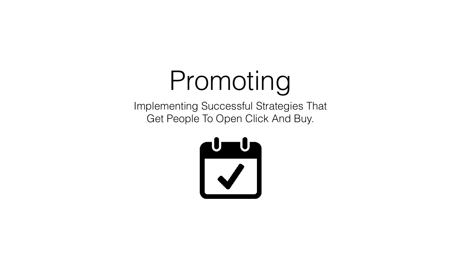### Promoting Implementing Successful Strategies That Get People To Open Click And Buy.

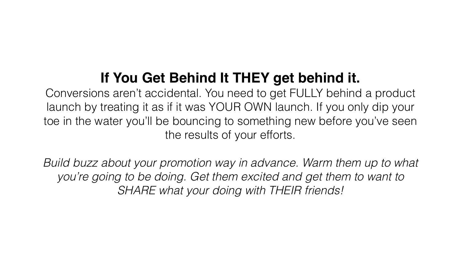#### **If You Get Behind It THEY get behind it.**

Conversions aren't accidental. You need to get FULLY behind a product launch by treating it as if it was YOUR OWN launch. If you only dip your toe in the water you'll be bouncing to something new before you've seen the results of your efforts.

*Build buzz about your promotion way in advance. Warm them up to what* you're going to be doing. Get them excited and get them to want to *SHARE what your doing with THEIR friends!*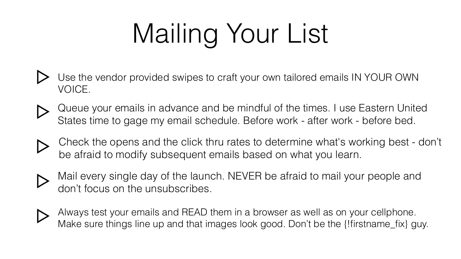## Mailing Your List

- Use the vendor provided swipes to craft your own tailored emails IN YOUR OWN VOICE.
- Queue your emails in advance and be mindful of the times. I use Eastern United States time to gage my email schedule. Before work - after work - before bed.
	- Check the opens and the click thru rates to determine what's working best don't be afraid to modify subsequent emails based on what you learn.
- 
- Mail every single day of the launch. NEVER be afraid to mail your people and don't focus on the unsubscribes.



Always test your emails and READ them in a browser as well as on your cellphone. Make sure things line up and that images look good. Don't be the {!firstname\_fix} guy.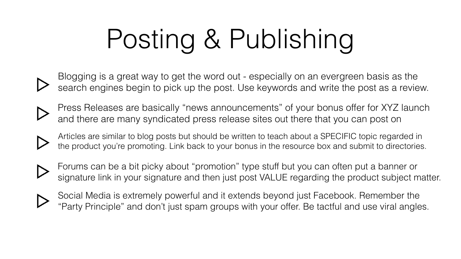# Posting & Publishing

- 
- 
- 
- 
- 
- 
- 
- 
- 
- 

Blogging is a great way to get the word out - especially on an evergreen basis as the search engines begin to pick up the post. Use keywords and write the post as a review.

Press Releases are basically "news announcements" of your bonus offer for XYZ launch and there are many syndicated press release sites out there that you can post on

Articles are similar to blog posts but should be written to teach about a SPECIFIC topic regarded in the product you're promoting. Link back to your bonus in the resource box and submit to directories.

Forums can be a bit picky about "promotion" type stuff but you can often put a banner or signature link in your signature and then just post VALUE regarding the product subject matter.

Social Media is extremely powerful and it extends beyond just Facebook. Remember the "Party Principle" and don't just spam groups with your offer. Be tactful and use viral angles.

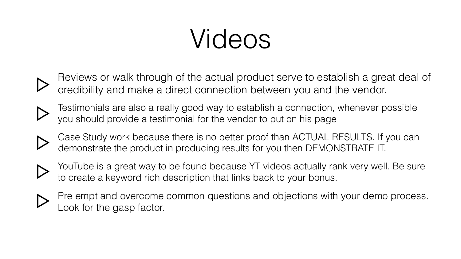# Videos

- Reviews or walk through of the actual product serve to establish a great deal of credibility and make a direct connection between you and the vendor.
- 
- Testimonials are also a really good way to establish a connection, whenever possible you should provide a testimonial for the vendor to put on his page
- 
- Case Study work because there is no better proof than ACTUAL RESULTS. If you can demonstrate the product in producing results for you then DEMONSTRATE IT.
- 
- YouTube is a great way to be found because YT videos actually rank very well. Be sure to create a keyword rich description that links back to your bonus.



Pre empt and overcome common questions and objections with your demo process. Look for the gasp factor.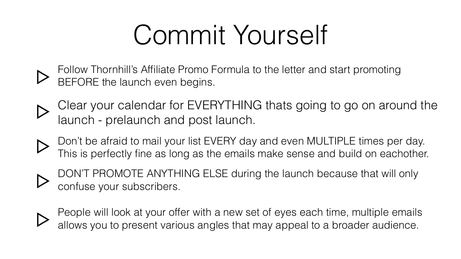# Commit Yourself

- Follow Thornhill's Affiliate Promo Formula to the letter and start promoting BEFORE the launch even begins.
- Clear your calendar for EVERYTHING thats going to go on around the launch - prelaunch and post launch.
- Don't be afraid to mail your list EVERY day and even MULTIPLE times per day. This is perfectly fine as long as the emails make sense and build on eachother.
- DON'T PROMOTE ANYTHING ELSE during the launch because that will only confuse your subscribers.
- People will look at your offer with a new set of eyes each time, multiple emails allows you to present various angles that may appeal to a broader audience.

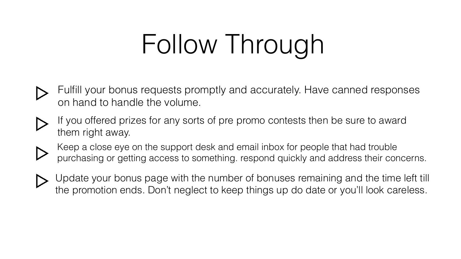# Follow Through

Fulfill your bonus requests promptly and accurately. Have canned responses

on hand to handle the volume.



If you offered prizes for any sorts of pre promo contests then be sure to award

them right away.





Keep a close eye on the support desk and email inbox for people that had trouble purchasing or getting access to something. respond quickly and address their concerns.

Update your bonus page with the number of bonuses remaining and the time left till the promotion ends. Don't neglect to keep things up do date or you'll look careless.